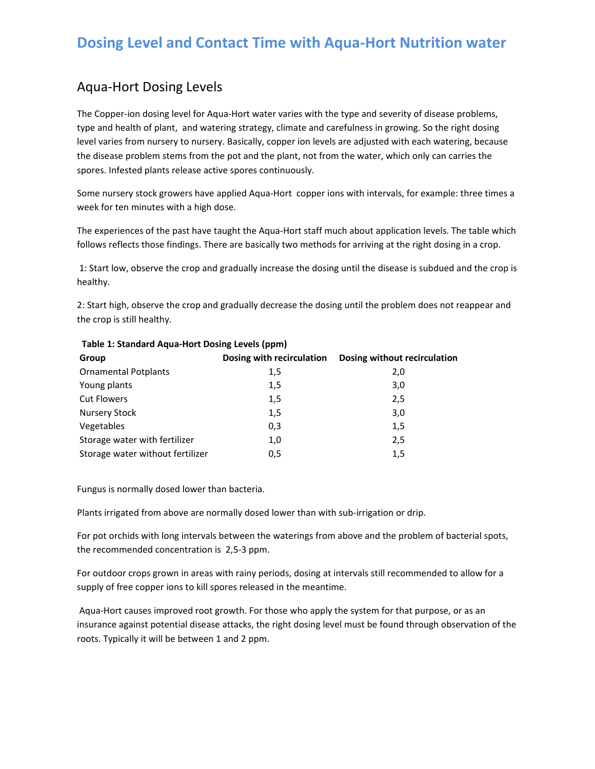# **Dosing Level and Contact Time with Aqua‐Hort Nutrition water**

### Aqua‐Hort Dosing Levels

The Copper-ion dosing level for Aqua-Hort water varies with the type and severity of disease problems, type and health of plant, and watering strategy, climate and carefulness in growing. So the right dosing level varies from nursery to nursery. Basically, copper ion levels are adjusted with each watering, because the disease problem stems from the pot and the plant, not from the water, which only can carries the spores. Infested plants release active spores continuously.

Some nursery stock growers have applied Aqua‐Hort copper ions with intervals, for example: three times a week for ten minutes with a high dose.

The experiences of the past have taught the Aqua-Hort staff much about application levels. The table which follows reflects those findings. There are basically two methods for arriving at the right dosing in a crop.

1: Start low, observe the crop and gradually increase the dosing until the disease is subdued and the crop is healthy.

2: Start high, observe the crop and gradually decrease the dosing until the problem does not reappear and the crop is still healthy.

| . where $\equiv$ , we consider the state of the state of $\equiv$ , where $\equiv$ , $\equiv$ , $\equiv$ , $\equiv$ , $\equiv$ , $\equiv$ , $\equiv$ , $\equiv$ , $\equiv$ , $\equiv$ , $\equiv$ , $\equiv$ , $\equiv$ , $\equiv$ , $\equiv$ , $\equiv$ , $\equiv$ , $\equiv$ , $\equiv$ , $\equiv$ , $\equiv$ , $\equiv$ , |                           |                              |  |  |  |  |  |  |
|-----------------------------------------------------------------------------------------------------------------------------------------------------------------------------------------------------------------------------------------------------------------------------------------------------------------------------|---------------------------|------------------------------|--|--|--|--|--|--|
| Group                                                                                                                                                                                                                                                                                                                       | Dosing with recirculation | Dosing without recirculation |  |  |  |  |  |  |
| <b>Ornamental Potplants</b>                                                                                                                                                                                                                                                                                                 | 1,5                       | 2,0                          |  |  |  |  |  |  |
| Young plants                                                                                                                                                                                                                                                                                                                | 1,5                       | 3,0                          |  |  |  |  |  |  |
| <b>Cut Flowers</b>                                                                                                                                                                                                                                                                                                          | 1,5                       | 2,5                          |  |  |  |  |  |  |
| <b>Nursery Stock</b>                                                                                                                                                                                                                                                                                                        | 1,5                       | 3,0                          |  |  |  |  |  |  |
| Vegetables                                                                                                                                                                                                                                                                                                                  | 0,3                       | 1,5                          |  |  |  |  |  |  |
| Storage water with fertilizer                                                                                                                                                                                                                                                                                               | 1,0                       | 2,5                          |  |  |  |  |  |  |
| Storage water without fertilizer                                                                                                                                                                                                                                                                                            | 0,5                       | 1,5                          |  |  |  |  |  |  |
|                                                                                                                                                                                                                                                                                                                             |                           |                              |  |  |  |  |  |  |

### **Table 1: Standard Aqua‐Hort Dosing Levels (ppm)**

Fungus is normally dosed lower than bacteria.

Plants irrigated from above are normally dosed lower than with sub‐irrigation or drip.

For pot orchids with long intervals between the waterings from above and the problem of bacterial spots, the recommended concentration is 2,5‐3 ppm.

For outdoor crops grown in areas with rainy periods, dosing at intervals still recommended to allow for a supply of free copper ions to kill spores released in the meantime.

Aqua‐Hort causes improved root growth. For those who apply the system for that purpose, or as an insurance against potential disease attacks, the right dosing level must be found through observation of the roots. Typically it will be between 1 and 2 ppm.